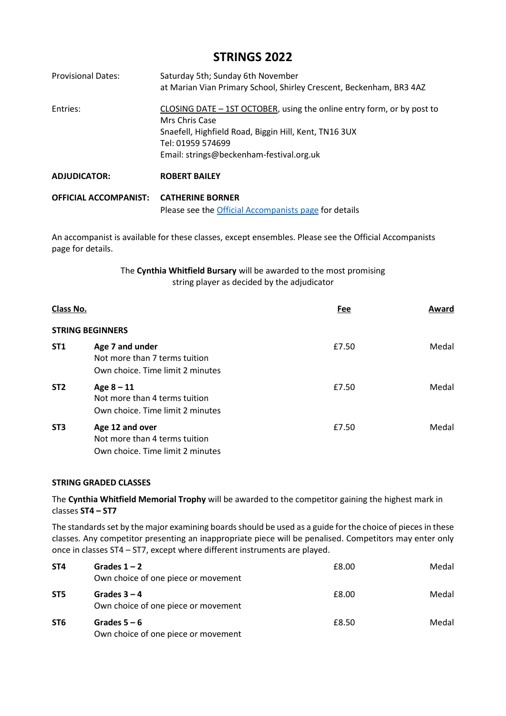# **STRINGS 2022**

| <b>Provisional Dates:</b>    | Saturday 5th; Sunday 6th November<br>at Marian Vian Primary School, Shirley Crescent, Beckenham, BR3 4AZ                                                                                                           |
|------------------------------|--------------------------------------------------------------------------------------------------------------------------------------------------------------------------------------------------------------------|
| Entries:                     | CLOSING DATE - 1ST OCTOBER, using the online entry form, or by post to<br>Mrs Chris Case<br>Snaefell, Highfield Road, Biggin Hill, Kent, TN16 3UX<br>Tel: 01959 574699<br>Email: strings@beckenham-festival.org.uk |
| <b>ADJUDICATOR:</b>          | <b>ROBERT BAILEY</b>                                                                                                                                                                                               |
| <b>OFFICIAL ACCOMPANIST:</b> | <b>CATHERINE BORNER</b><br>Please see the Official Accompanists page for details                                                                                                                                   |

An accompanist is available for these classes, except ensembles. Please see the Official Accompanists page for details.

> The **Cynthia Whitfield Bursary** will be awarded to the most promising string player as decided by the adjudicator

| Class No.       |                                                                                      | Fee   | Award |
|-----------------|--------------------------------------------------------------------------------------|-------|-------|
|                 | <b>STRING BEGINNERS</b>                                                              |       |       |
| <b>ST1</b>      | Age 7 and under<br>Not more than 7 terms tuition<br>Own choice. Time limit 2 minutes | £7.50 | Medal |
| ST <sub>2</sub> | Age $8 - 11$<br>Not more than 4 terms tuition<br>Own choice. Time limit 2 minutes    | £7.50 | Medal |
| ST <sub>3</sub> | Age 12 and over<br>Not more than 4 terms tuition<br>Own choice. Time limit 2 minutes | £7.50 | Medal |

#### **STRING GRADED CLASSES**

The **Cynthia Whitfield Memorial Trophy** will be awarded to the competitor gaining the highest mark in classes **ST4 – ST7**

The standards set by the major examining boards should be used as a guide for the choice of pieces in these classes. Any competitor presenting an inappropriate piece will be penalised. Competitors may enter only once in classes ST4 – ST7, except where different instruments are played.

| ST4             | Grades $1 - 2$<br>Own choice of one piece or movement | £8.00 | Medal |
|-----------------|-------------------------------------------------------|-------|-------|
| ST <sub>5</sub> | Grades $3 - 4$<br>Own choice of one piece or movement | £8.00 | Medal |
| ST6             | Grades $5 - 6$<br>Own choice of one piece or movement | £8.50 | Medal |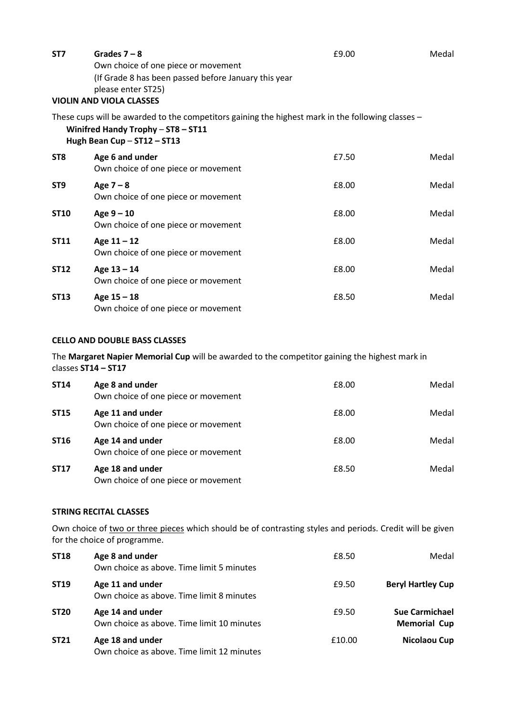| ST7             | Grades $7 - 8$<br>Own choice of one piece or movement<br>(If Grade 8 has been passed before January this year<br>please enter ST25)<br><b>VIOLIN AND VIOLA CLASSES</b> | £9.00 | Medal |
|-----------------|------------------------------------------------------------------------------------------------------------------------------------------------------------------------|-------|-------|
|                 | These cups will be awarded to the competitors gaining the highest mark in the following classes -<br>Winifred Handy Trophy - ST8 - ST11<br>Hugh Bean Cup - ST12 - ST13 |       |       |
| ST <sub>8</sub> | Age 6 and under<br>Own choice of one piece or movement                                                                                                                 | £7.50 | Medal |
| ST <sub>9</sub> | Age $7 - 8$<br>Own choice of one piece or movement                                                                                                                     | £8.00 | Medal |
| <b>ST10</b>     | Age $9 - 10$<br>Own choice of one piece or movement                                                                                                                    | £8.00 | Medal |
| <b>ST11</b>     | Age $11 - 12$<br>Own choice of one piece or movement                                                                                                                   | £8.00 | Medal |
| <b>ST12</b>     | Age $13 - 14$<br>Own choice of one piece or movement                                                                                                                   | £8.00 | Medal |
| <b>ST13</b>     | Age $15 - 18$<br>Own choice of one piece or movement                                                                                                                   | £8.50 | Medal |

## **CELLO AND DOUBLE BASS CLASSES**

#### The **Margaret Napier Memorial Cup** will be awarded to the competitor gaining the highest mark in classes **ST14 – ST17**

| <b>ST14</b> | Age 8 and under<br>Own choice of one piece or movement  | £8.00 | Medal |
|-------------|---------------------------------------------------------|-------|-------|
| <b>ST15</b> | Age 11 and under<br>Own choice of one piece or movement | £8.00 | Medal |
| <b>ST16</b> | Age 14 and under<br>Own choice of one piece or movement | £8.00 | Medal |
| <b>ST17</b> | Age 18 and under<br>Own choice of one piece or movement | £8.50 | Medal |

## **STRING RECITAL CLASSES**

Own choice of two or three pieces which should be of contrasting styles and periods. Credit will be given for the choice of programme.

| <b>ST18</b> | Age 8 and under<br>Own choice as above. Time limit 5 minutes   | £8.50  | Medal                                        |
|-------------|----------------------------------------------------------------|--------|----------------------------------------------|
| <b>ST19</b> | Age 11 and under<br>Own choice as above. Time limit 8 minutes  | £9.50  | <b>Beryl Hartley Cup</b>                     |
| <b>ST20</b> | Age 14 and under<br>Own choice as above. Time limit 10 minutes | £9.50  | <b>Sue Carmichael</b><br><b>Memorial Cup</b> |
| <b>ST21</b> | Age 18 and under<br>Own choice as above. Time limit 12 minutes | £10.00 | Nicolaou Cup                                 |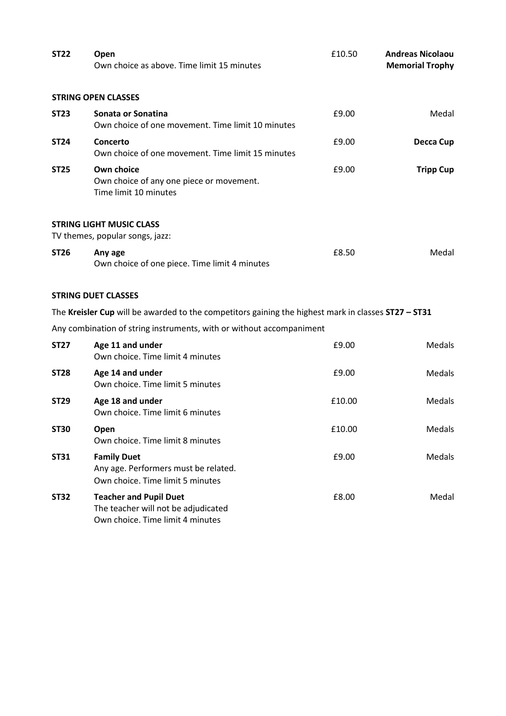| <b>ST22</b> | Open<br>Own choice as above. Time limit 15 minutes                                                       | £10.50 | <b>Andreas Nicolaou</b><br><b>Memorial Trophy</b> |
|-------------|----------------------------------------------------------------------------------------------------------|--------|---------------------------------------------------|
|             | <b>STRING OPEN CLASSES</b>                                                                               |        |                                                   |
| <b>ST23</b> | Sonata or Sonatina<br>Own choice of one movement. Time limit 10 minutes                                  | £9.00  | Medal                                             |
| <b>ST24</b> | Concerto<br>Own choice of one movement. Time limit 15 minutes                                            | £9.00  | Decca Cup                                         |
| <b>ST25</b> | Own choice<br>Own choice of any one piece or movement.<br>Time limit 10 minutes                          | £9.00  | <b>Tripp Cup</b>                                  |
|             | <b>STRING LIGHT MUSIC CLASS</b><br>TV themes, popular songs, jazz:                                       |        |                                                   |
| <b>ST26</b> | Any age<br>Own choice of one piece. Time limit 4 minutes                                                 | £8.50  | Medal                                             |
|             | <b>STRING DUET CLASSES</b>                                                                               |        |                                                   |
|             | The Kreisler Cup will be awarded to the competitors gaining the highest mark in classes ST27 - ST31      |        |                                                   |
|             | Any combination of string instruments, with or without accompaniment                                     |        |                                                   |
| <b>ST27</b> | Age 11 and under<br>Own choice. Time limit 4 minutes                                                     | £9.00  | Medals                                            |
| <b>ST28</b> | Age 14 and under<br>Own choice. Time limit 5 minutes                                                     | £9.00  | Medals                                            |
| <b>ST29</b> | Age 18 and under<br>Own choice. Time limit 6 minutes                                                     | £10.00 | Medals                                            |
| <b>ST30</b> | Open<br>Own choice. Time limit 8 minutes                                                                 | £10.00 | Medals                                            |
| <b>ST31</b> | <b>Family Duet</b><br>Any age. Performers must be related.<br>Own choice. Time limit 5 minutes           | £9.00  | Medals                                            |
| <b>ST32</b> | <b>Teacher and Pupil Duet</b><br>The teacher will not be adjudicated<br>Own choice. Time limit 4 minutes | £8.00  | Medal                                             |